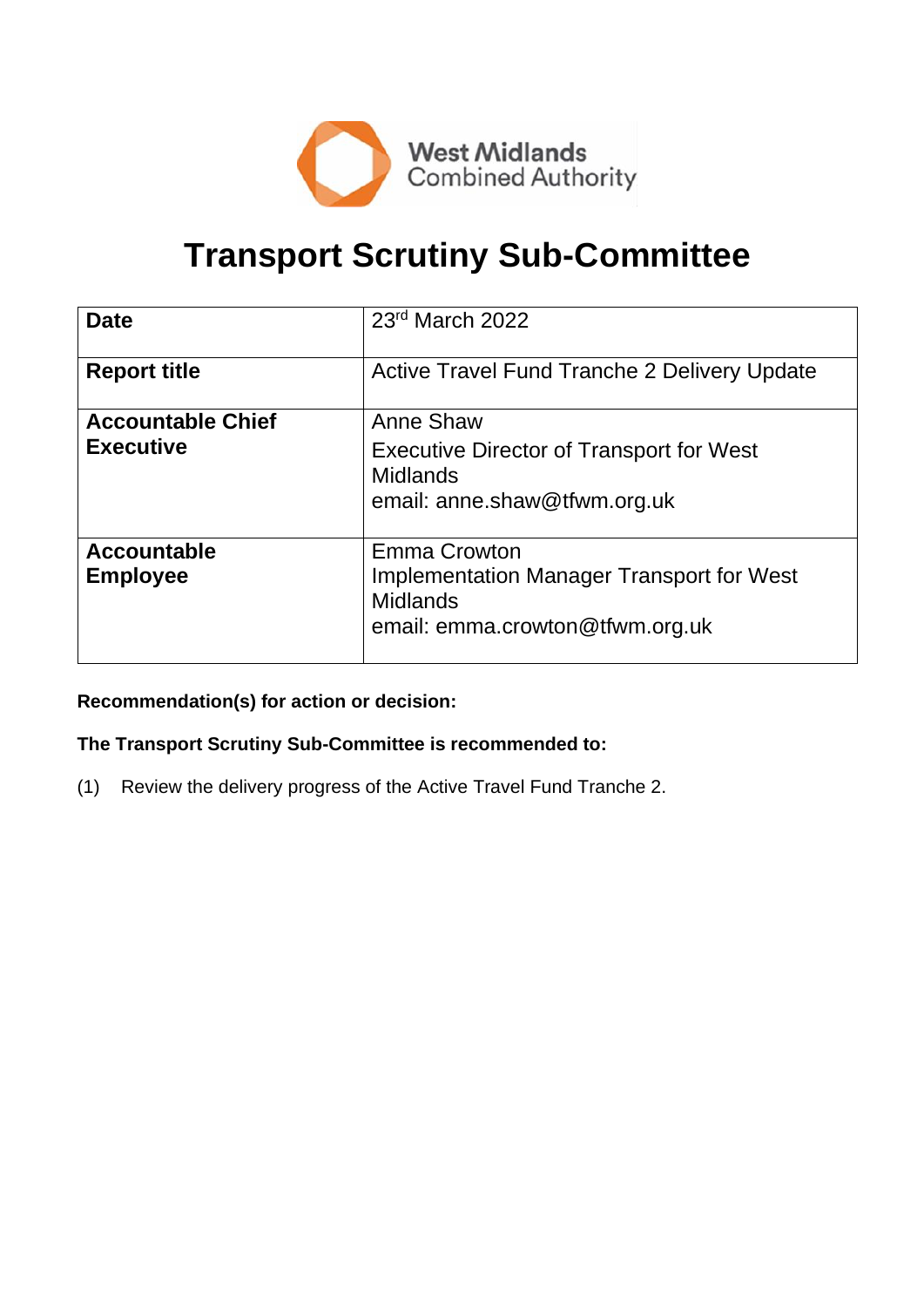

# **Transport Scrutiny Sub-Committee**

| <b>Date</b>              | 23rd March 2022                                     |
|--------------------------|-----------------------------------------------------|
| <b>Report title</b>      | <b>Active Travel Fund Tranche 2 Delivery Update</b> |
| <b>Accountable Chief</b> | Anne Shaw                                           |
| <b>Executive</b>         | <b>Executive Director of Transport for West</b>     |
|                          | <b>Midlands</b>                                     |
|                          | email: anne.shaw@tfwm.org.uk                        |
| <b>Accountable</b>       | <b>Emma Crowton</b>                                 |
| <b>Employee</b>          | <b>Implementation Manager Transport for West</b>    |
|                          | <b>Midlands</b>                                     |
|                          | email: emma.crowton@tfwm.org.uk                     |

#### **Recommendation(s) for action or decision:**

#### **The Transport Scrutiny Sub-Committee is recommended to:**

(1) Review the delivery progress of the Active Travel Fund Tranche 2.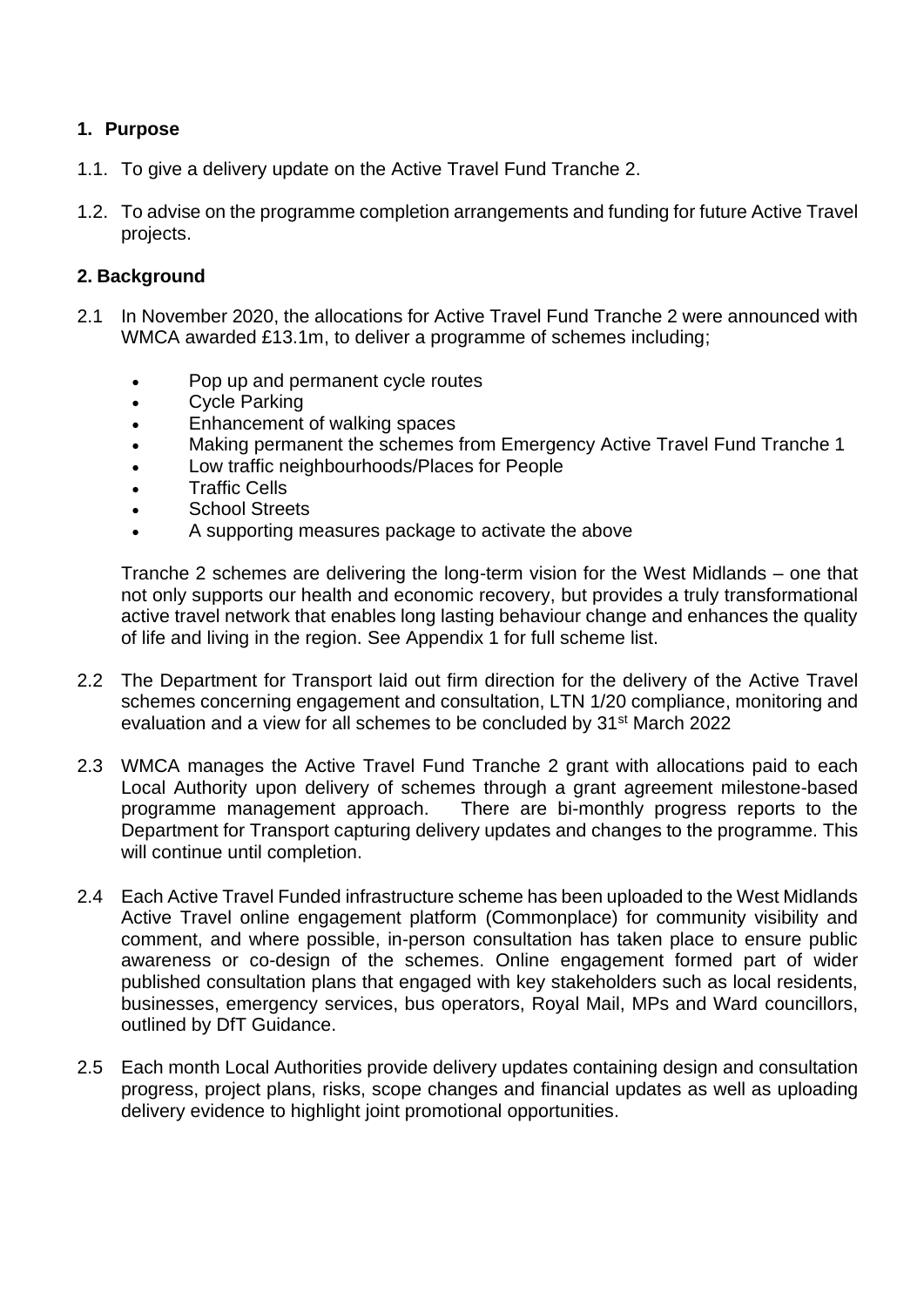#### **1. Purpose**

- 1.1. To give a delivery update on the Active Travel Fund Tranche 2.
- 1.2. To advise on the programme completion arrangements and funding for future Active Travel projects.

#### **2. Background**

- 2.1 In November 2020, the allocations for Active Travel Fund Tranche 2 were announced with WMCA awarded £13.1m, to deliver a programme of schemes including;
	- Pop up and permanent cycle routes
	- Cycle Parking
	- Enhancement of walking spaces
	- Making permanent the schemes from Emergency Active Travel Fund Tranche 1
	- Low traffic neighbourhoods/Places for People
	- Traffic Cells
	- School Streets
	- A supporting measures package to activate the above

Tranche 2 schemes are delivering the long-term vision for the West Midlands – one that not only supports our health and economic recovery, but provides a truly transformational active travel network that enables long lasting behaviour change and enhances the quality of life and living in the region. See Appendix 1 for full scheme list.

- 2.2 The Department for Transport laid out firm direction for the delivery of the Active Travel schemes concerning engagement and consultation, LTN 1/20 compliance, monitoring and evaluation and a view for all schemes to be concluded by 31st March 2022
- 2.3 WMCA manages the Active Travel Fund Tranche 2 grant with allocations paid to each Local Authority upon delivery of schemes through a grant agreement milestone-based programme management approach. There are bi-monthly progress reports to the Department for Transport capturing delivery updates and changes to the programme. This will continue until completion.
- 2.4 Each Active Travel Funded infrastructure scheme has been uploaded to the West Midlands Active Travel online engagement platform (Commonplace) for community visibility and comment, and where possible, in-person consultation has taken place to ensure public awareness or co-design of the schemes. Online engagement formed part of wider published consultation plans that engaged with key stakeholders such as local residents, businesses, emergency services, bus operators, Royal Mail, MPs and Ward councillors, outlined by DfT Guidance.
- 2.5 Each month Local Authorities provide delivery updates containing design and consultation progress, project plans, risks, scope changes and financial updates as well as uploading delivery evidence to highlight joint promotional opportunities.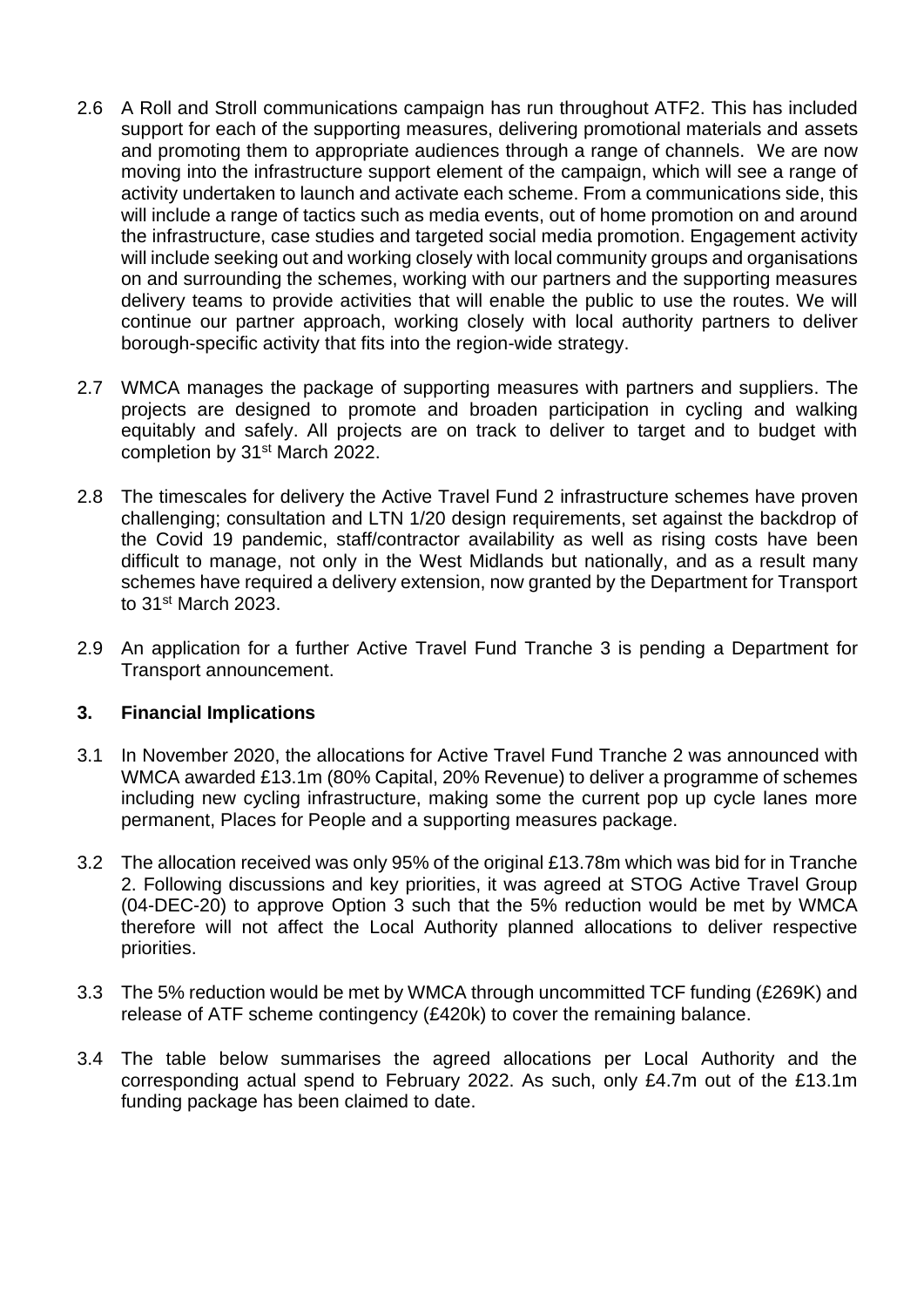- 2.6 A Roll and Stroll communications campaign has run throughout ATF2. This has included support for each of the supporting measures, delivering promotional materials and assets and promoting them to appropriate audiences through a range of channels. We are now moving into the infrastructure support element of the campaign, which will see a range of activity undertaken to launch and activate each scheme. From a communications side, this will include a range of tactics such as media events, out of home promotion on and around the infrastructure, case studies and targeted social media promotion. Engagement activity will include seeking out and working closely with local community groups and organisations on and surrounding the schemes, working with our partners and the supporting measures delivery teams to provide activities that will enable the public to use the routes. We will continue our partner approach, working closely with local authority partners to deliver borough-specific activity that fits into the region-wide strategy.
- 2.7 WMCA manages the package of supporting measures with partners and suppliers. The projects are designed to promote and broaden participation in cycling and walking equitably and safely. All projects are on track to deliver to target and to budget with completion by 31st March 2022.
- 2.8 The timescales for delivery the Active Travel Fund 2 infrastructure schemes have proven challenging; consultation and LTN 1/20 design requirements, set against the backdrop of the Covid 19 pandemic, staff/contractor availability as well as rising costs have been difficult to manage, not only in the West Midlands but nationally, and as a result many schemes have required a delivery extension, now granted by the Department for Transport to 31st March 2023.
- 2.9 An application for a further Active Travel Fund Tranche 3 is pending a Department for Transport announcement.

#### **3. Financial Implications**

- 3.1 In November 2020, the allocations for Active Travel Fund Tranche 2 was announced with WMCA awarded £13.1m (80% Capital, 20% Revenue) to deliver a programme of schemes including new cycling infrastructure, making some the current pop up cycle lanes more permanent, Places for People and a supporting measures package.
- 3.2 The allocation received was only 95% of the original £13.78m which was bid for in Tranche 2. Following discussions and key priorities, it was agreed at STOG Active Travel Group (04-DEC-20) to approve Option 3 such that the 5% reduction would be met by WMCA therefore will not affect the Local Authority planned allocations to deliver respective priorities.
- 3.3 The 5% reduction would be met by WMCA through uncommitted TCF funding (£269K) and release of ATF scheme contingency (£420k) to cover the remaining balance.
- 3.4 The table below summarises the agreed allocations per Local Authority and the corresponding actual spend to February 2022. As such, only £4.7m out of the £13.1m funding package has been claimed to date.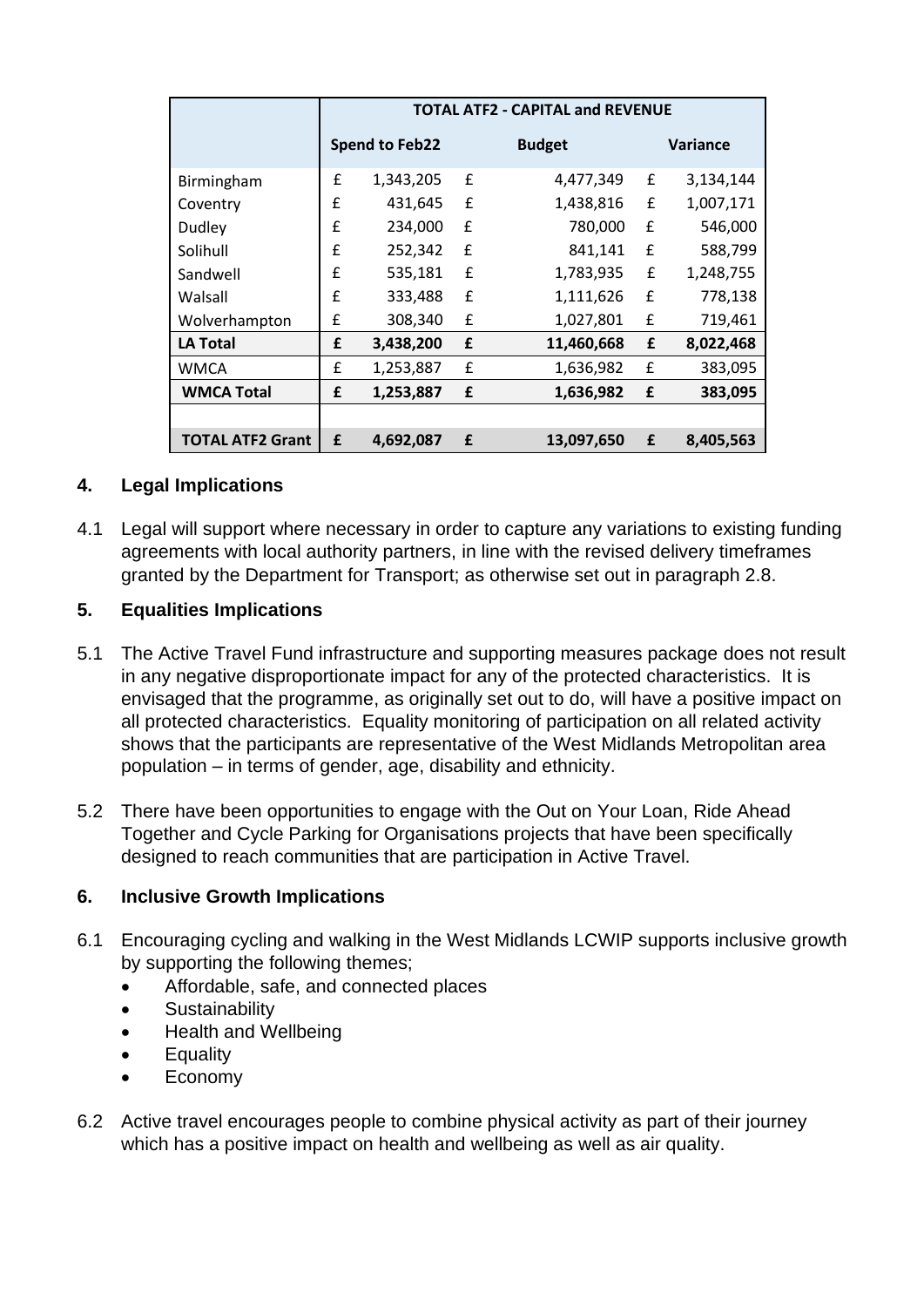|                         | <b>TOTAL ATF2 - CAPITAL and REVENUE</b> |                       |   |               |   |                 |
|-------------------------|-----------------------------------------|-----------------------|---|---------------|---|-----------------|
|                         |                                         | <b>Spend to Feb22</b> |   | <b>Budget</b> |   | <b>Variance</b> |
| Birmingham              | £                                       | 1,343,205             | £ | 4,477,349     | £ | 3,134,144       |
| Coventry                | f                                       | 431,645               | £ | 1,438,816     | £ | 1,007,171       |
| Dudley                  | £                                       | 234,000               | f | 780,000       | £ | 546,000         |
| Solihull                | £                                       | 252,342               | £ | 841,141       | £ | 588,799         |
| Sandwell                | £                                       | 535,181               | £ | 1,783,935     | £ | 1,248,755       |
| Walsall                 | £                                       | 333,488               | £ | 1,111,626     | £ | 778,138         |
| Wolverhampton           | £                                       | 308,340               | £ | 1,027,801     | £ | 719,461         |
| <b>LA Total</b>         | £                                       | 3,438,200             | £ | 11,460,668    | £ | 8,022,468       |
| <b>WMCA</b>             | £                                       | 1,253,887             | £ | 1,636,982     | £ | 383,095         |
| <b>WMCA Total</b>       | £                                       | 1,253,887             | £ | 1,636,982     | £ | 383,095         |
|                         |                                         |                       |   |               |   |                 |
| <b>TOTAL ATF2 Grant</b> | £                                       | 4,692,087             | £ | 13,097,650    | £ | 8,405,563       |

#### **4. Legal Implications**

4.1 Legal will support where necessary in order to capture any variations to existing funding agreements with local authority partners, in line with the revised delivery timeframes granted by the Department for Transport; as otherwise set out in paragraph 2.8.

#### **5. Equalities Implications**

- 5.1 The Active Travel Fund infrastructure and supporting measures package does not result in any negative disproportionate impact for any of the protected characteristics. It is envisaged that the programme, as originally set out to do, will have a positive impact on all protected characteristics. Equality monitoring of participation on all related activity shows that the participants are representative of the West Midlands Metropolitan area population – in terms of gender, age, disability and ethnicity.
- 5.2 There have been opportunities to engage with the Out on Your Loan, Ride Ahead Together and Cycle Parking for Organisations projects that have been specifically designed to reach communities that are participation in Active Travel.

#### **6. Inclusive Growth Implications**

- 6.1 Encouraging cycling and walking in the West Midlands LCWIP supports inclusive growth by supporting the following themes;
	- Affordable, safe, and connected places
	- Sustainability
	- Health and Wellbeing
	- Equality
	- Economy
- 6.2 Active travel encourages people to combine physical activity as part of their journey which has a positive impact on health and wellbeing as well as air quality.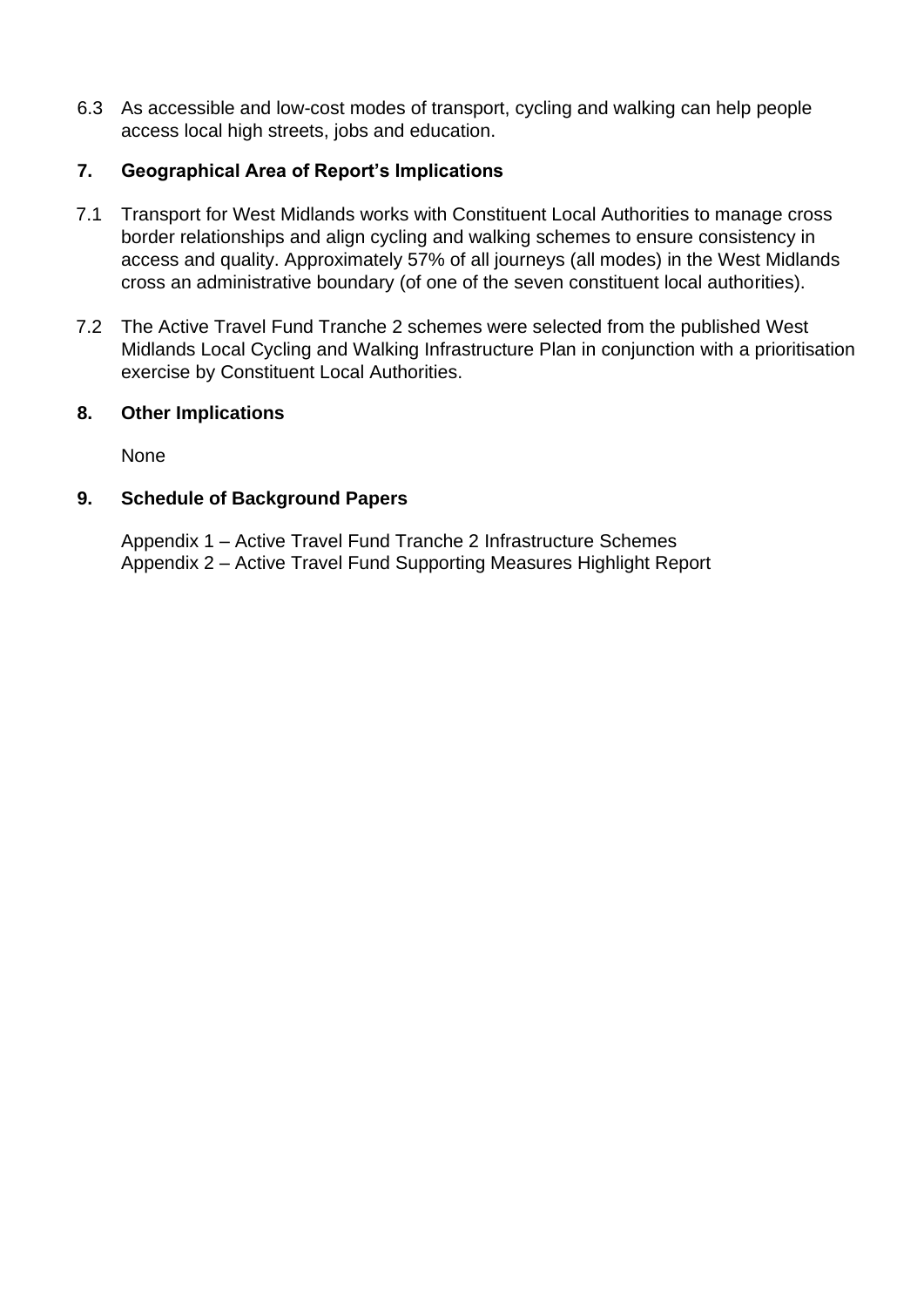6.3 As accessible and low-cost modes of transport, cycling and walking can help people access local high streets, jobs and education.

#### **7. Geographical Area of Report's Implications**

- 7.1 Transport for West Midlands works with Constituent Local Authorities to manage cross border relationships and align cycling and walking schemes to ensure consistency in access and quality. Approximately 57% of all journeys (all modes) in the West Midlands cross an administrative boundary (of one of the seven constituent local authorities).
- 7.2 The Active Travel Fund Tranche 2 schemes were selected from the published West Midlands Local Cycling and Walking Infrastructure Plan in conjunction with a prioritisation exercise by Constituent Local Authorities.

#### **8. Other Implications**

None

#### **9. Schedule of Background Papers**

Appendix 1 – Active Travel Fund Tranche 2 Infrastructure Schemes Appendix 2 – Active Travel Fund Supporting Measures Highlight Report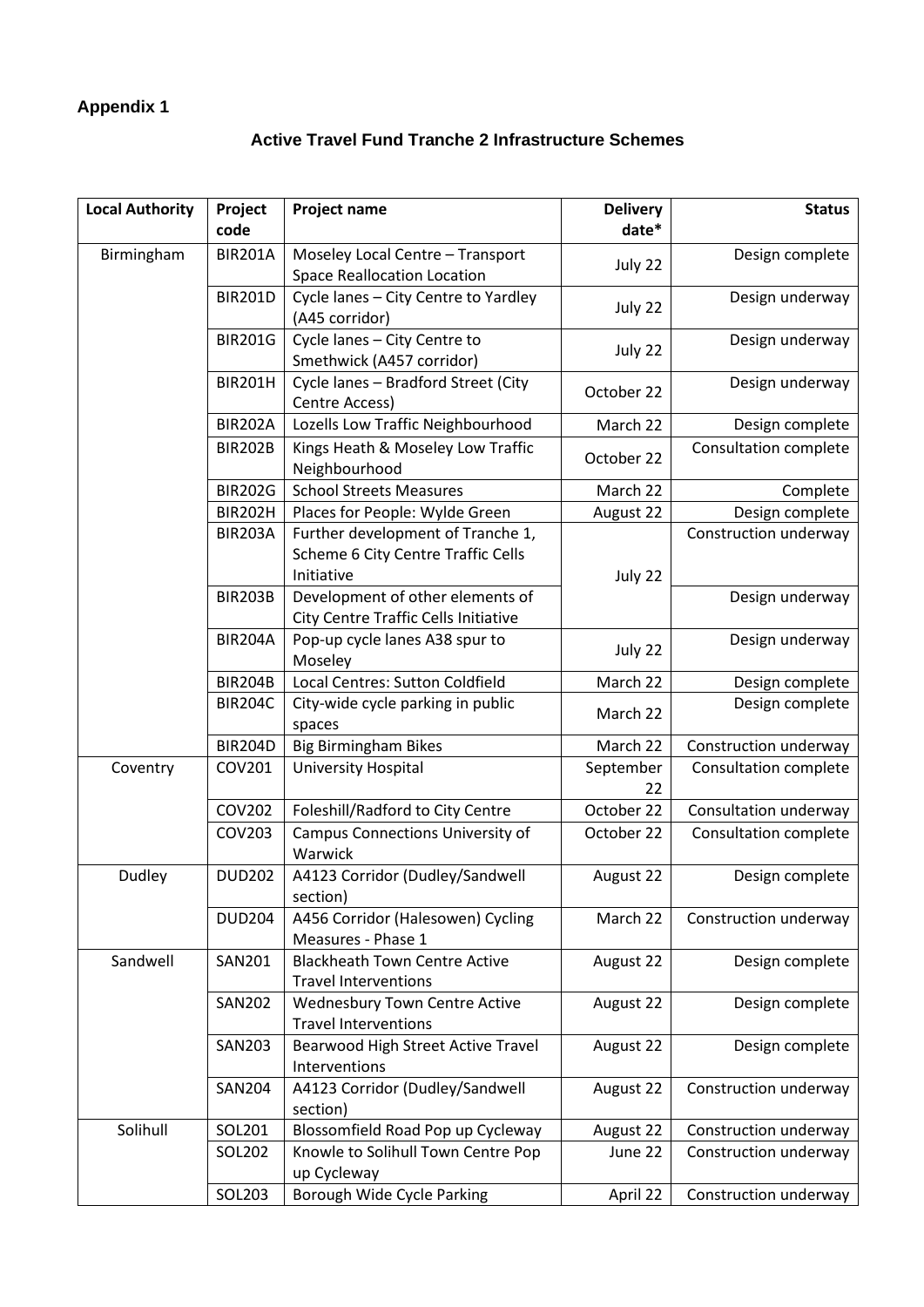### **Appendix 1**

#### **Active Travel Fund Tranche 2 Infrastructure Schemes**

| code       |                |                                                    |            |                              |
|------------|----------------|----------------------------------------------------|------------|------------------------------|
|            |                |                                                    | date*      |                              |
| Birmingham | <b>BIR201A</b> | Moseley Local Centre - Transport                   | July 22    | Design complete              |
|            |                | <b>Space Reallocation Location</b>                 |            |                              |
|            | <b>BIR201D</b> | Cycle lanes - City Centre to Yardley               | July 22    | Design underway              |
|            |                | (A45 corridor)                                     |            |                              |
|            | <b>BIR201G</b> | Cycle lanes - City Centre to                       | July 22    | Design underway              |
|            |                | Smethwick (A457 corridor)                          |            |                              |
|            | <b>BIR201H</b> | Cycle lanes - Bradford Street (City                | October 22 | Design underway              |
|            | <b>BIR202A</b> | Centre Access)                                     |            |                              |
|            |                | Lozells Low Traffic Neighbourhood                  | March 22   | Design complete              |
|            | <b>BIR202B</b> | Kings Heath & Moseley Low Traffic<br>Neighbourhood | October 22 | Consultation complete        |
|            | <b>BIR202G</b> | <b>School Streets Measures</b>                     | March 22   | Complete                     |
|            | <b>BIR202H</b> | Places for People: Wylde Green                     | August 22  | Design complete              |
|            | <b>BIR203A</b> | Further development of Tranche 1,                  |            | Construction underway        |
|            |                | Scheme 6 City Centre Traffic Cells                 |            |                              |
|            |                | Initiative                                         | July 22    |                              |
|            | <b>BIR203B</b> | Development of other elements of                   |            | Design underway              |
|            |                | City Centre Traffic Cells Initiative               |            |                              |
|            | <b>BIR204A</b> | Pop-up cycle lanes A38 spur to                     |            | Design underway              |
|            |                | Moseley                                            | July 22    |                              |
|            | <b>BIR204B</b> | Local Centres: Sutton Coldfield                    | March 22   | Design complete              |
|            | <b>BIR204C</b> | City-wide cycle parking in public                  | March 22   | Design complete              |
|            |                | spaces                                             |            |                              |
|            | <b>BIR204D</b> | <b>Big Birmingham Bikes</b>                        | March 22   | Construction underway        |
| Coventry   | COV201         | University Hospital                                | September  | Consultation complete        |
|            |                |                                                    | 22         |                              |
|            | COV202         | Foleshill/Radford to City Centre                   | October 22 | Consultation underway        |
|            | COV203         | Campus Connections University of<br>Warwick        | October 22 | <b>Consultation complete</b> |
| Dudley     | <b>DUD202</b>  | A4123 Corridor (Dudley/Sandwell                    | August 22  | Design complete              |
|            |                | section)                                           |            |                              |
|            | <b>DUD204</b>  | A456 Corridor (Halesowen) Cycling                  | March 22   | Construction underway        |
|            |                | Measures - Phase 1                                 |            |                              |
| Sandwell   | <b>SAN201</b>  | <b>Blackheath Town Centre Active</b>               | August 22  | Design complete              |
|            |                | <b>Travel Interventions</b>                        |            |                              |
|            | <b>SAN202</b>  | <b>Wednesbury Town Centre Active</b>               | August 22  | Design complete              |
|            |                | <b>Travel Interventions</b>                        |            |                              |
|            | <b>SAN203</b>  | Bearwood High Street Active Travel                 | August 22  | Design complete              |
|            |                | Interventions                                      |            |                              |
|            | <b>SAN204</b>  | A4123 Corridor (Dudley/Sandwell                    | August 22  | Construction underway        |
|            |                | section)                                           |            |                              |
| Solihull   | SOL201         | Blossomfield Road Pop up Cycleway                  | August 22  | Construction underway        |
|            | SOL202         | Knowle to Solihull Town Centre Pop<br>up Cycleway  | June 22    | Construction underway        |
|            | SOL203         | Borough Wide Cycle Parking                         | April 22   | Construction underway        |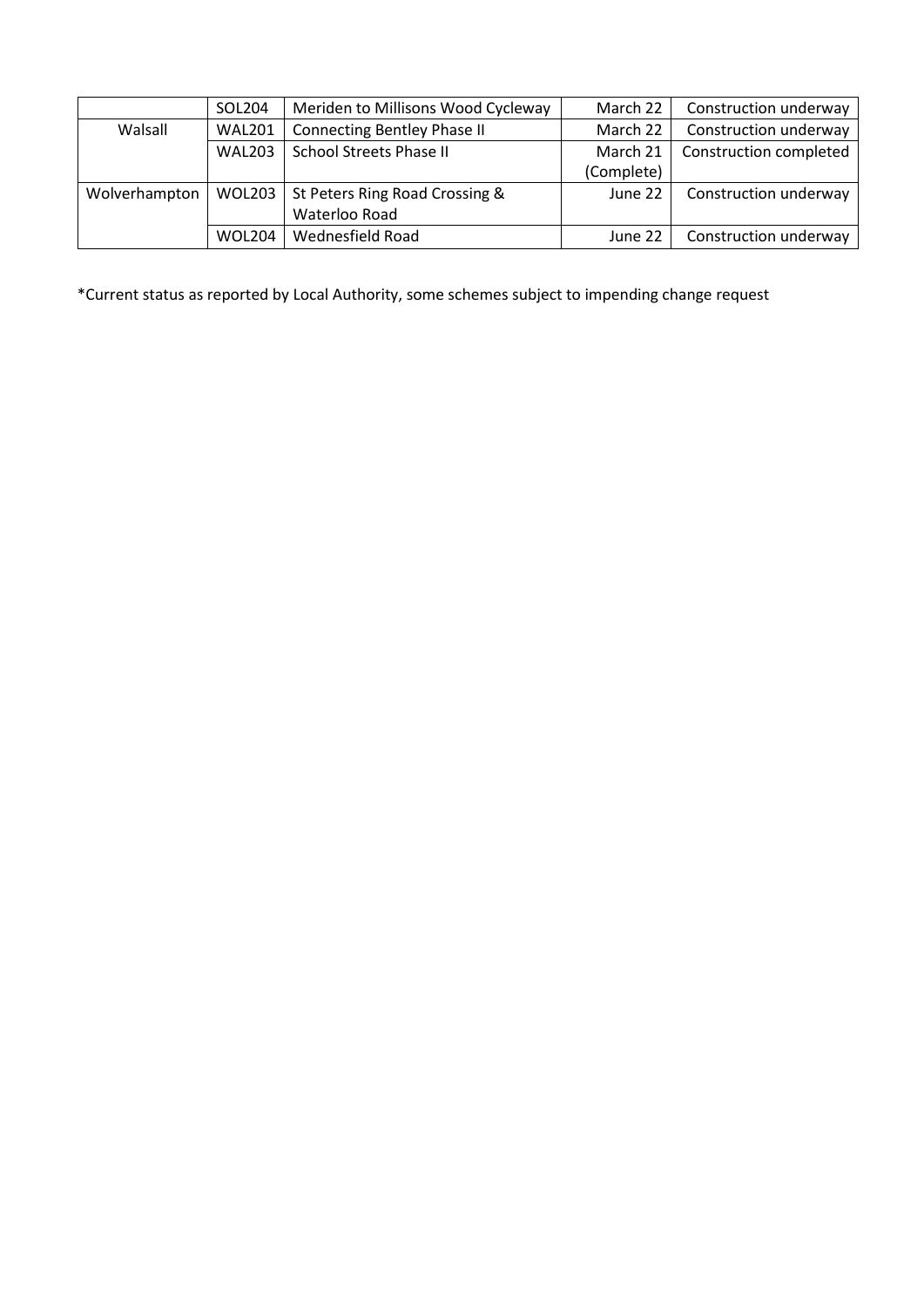|               | SOL204        | Meriden to Millisons Wood Cycleway | March 22   | Construction underway  |
|---------------|---------------|------------------------------------|------------|------------------------|
| Walsall       | <b>WAL201</b> | Connecting Bentley Phase II        | March 22   | Construction underway  |
|               | <b>WAL203</b> | <b>School Streets Phase II</b>     | March 21   | Construction completed |
|               |               |                                    | (Complete) |                        |
| Wolverhampton | WOL203        | St Peters Ring Road Crossing &     | June 22    | Construction underway  |
|               |               | Waterloo Road                      |            |                        |
|               | <b>WOL204</b> | Wednesfield Road                   | June 22    | Construction underway  |

\*Current status as reported by Local Authority, some schemes subject to impending change request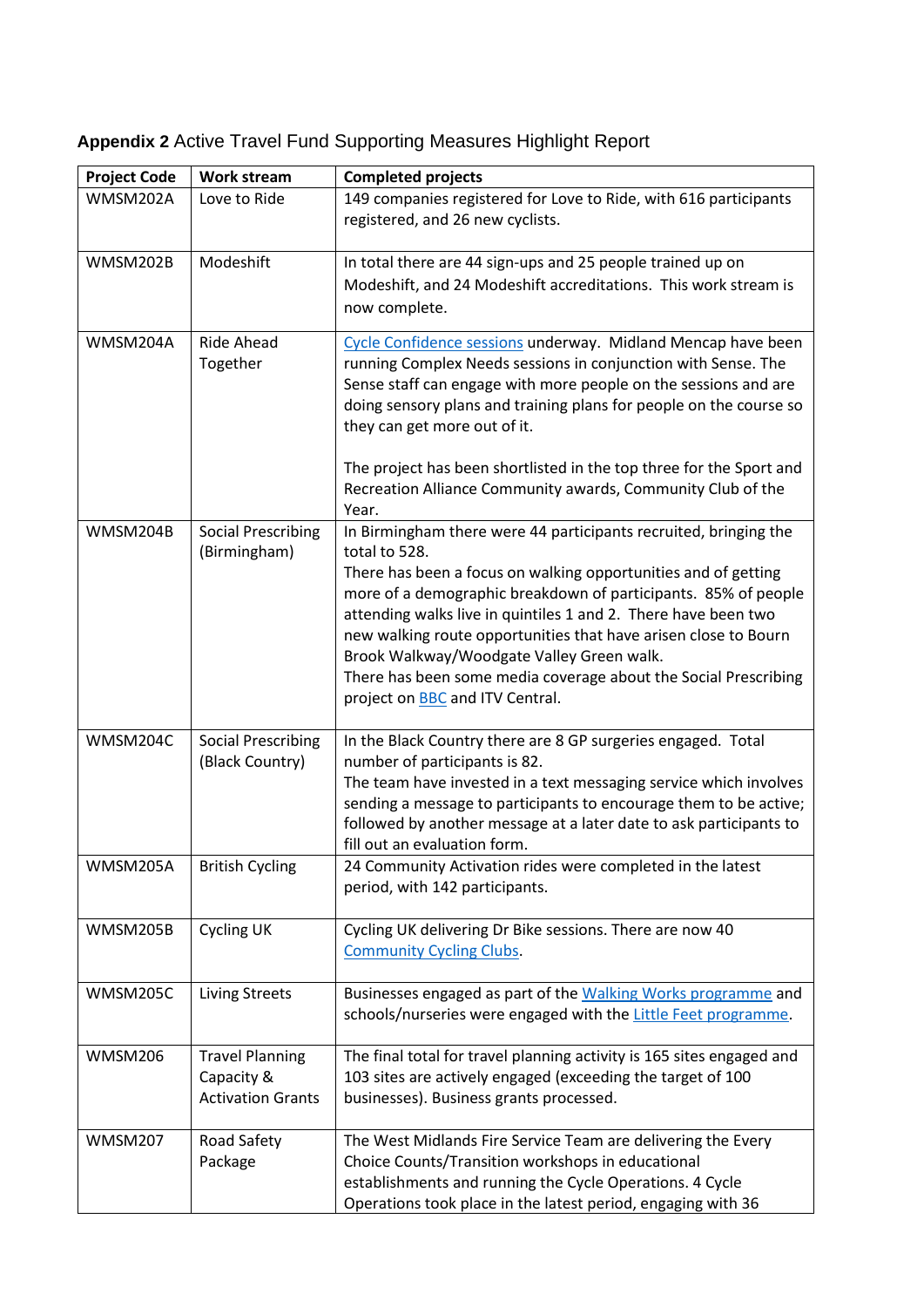| <b>Project Code</b> | <b>Work stream</b>                                               | <b>Completed projects</b>                                                                                                                                                                                                                                                                                                                                                                                                                                                                                            |
|---------------------|------------------------------------------------------------------|----------------------------------------------------------------------------------------------------------------------------------------------------------------------------------------------------------------------------------------------------------------------------------------------------------------------------------------------------------------------------------------------------------------------------------------------------------------------------------------------------------------------|
| WMSM202A            | Love to Ride                                                     | 149 companies registered for Love to Ride, with 616 participants<br>registered, and 26 new cyclists.                                                                                                                                                                                                                                                                                                                                                                                                                 |
| WMSM202B            | Modeshift                                                        | In total there are 44 sign-ups and 25 people trained up on<br>Modeshift, and 24 Modeshift accreditations. This work stream is<br>now complete.                                                                                                                                                                                                                                                                                                                                                                       |
| WMSM204A            | <b>Ride Ahead</b><br>Together                                    | Cycle Confidence sessions underway. Midland Mencap have been<br>running Complex Needs sessions in conjunction with Sense. The<br>Sense staff can engage with more people on the sessions and are<br>doing sensory plans and training plans for people on the course so<br>they can get more out of it.<br>The project has been shortlisted in the top three for the Sport and                                                                                                                                        |
|                     |                                                                  | Recreation Alliance Community awards, Community Club of the<br>Year.                                                                                                                                                                                                                                                                                                                                                                                                                                                 |
| WMSM204B            | <b>Social Prescribing</b><br>(Birmingham)                        | In Birmingham there were 44 participants recruited, bringing the<br>total to 528.<br>There has been a focus on walking opportunities and of getting<br>more of a demographic breakdown of participants. 85% of people<br>attending walks live in quintiles 1 and 2. There have been two<br>new walking route opportunities that have arisen close to Bourn<br>Brook Walkway/Woodgate Valley Green walk.<br>There has been some media coverage about the Social Prescribing<br>project on <b>BBC</b> and ITV Central. |
| WMSM204C            | <b>Social Prescribing</b><br>(Black Country)                     | In the Black Country there are 8 GP surgeries engaged. Total<br>number of participants is 82.<br>The team have invested in a text messaging service which involves<br>sending a message to participants to encourage them to be active;<br>followed by another message at a later date to ask participants to<br>fill out an evaluation form.                                                                                                                                                                        |
| WMSM205A            | <b>British Cycling</b>                                           | 24 Community Activation rides were completed in the latest<br>period, with 142 participants.                                                                                                                                                                                                                                                                                                                                                                                                                         |
| WMSM205B            | <b>Cycling UK</b>                                                | Cycling UK delivering Dr Bike sessions. There are now 40<br><b>Community Cycling Clubs.</b>                                                                                                                                                                                                                                                                                                                                                                                                                          |
| WMSM205C            | <b>Living Streets</b>                                            | Businesses engaged as part of the Walking Works programme and<br>schools/nurseries were engaged with the Little Feet programme.                                                                                                                                                                                                                                                                                                                                                                                      |
| WMSM206             | <b>Travel Planning</b><br>Capacity &<br><b>Activation Grants</b> | The final total for travel planning activity is 165 sites engaged and<br>103 sites are actively engaged (exceeding the target of 100<br>businesses). Business grants processed.                                                                                                                                                                                                                                                                                                                                      |
| <b>WMSM207</b>      | Road Safety<br>Package                                           | The West Midlands Fire Service Team are delivering the Every<br>Choice Counts/Transition workshops in educational<br>establishments and running the Cycle Operations. 4 Cycle<br>Operations took place in the latest period, engaging with 36                                                                                                                                                                                                                                                                        |

## **Appendix 2** Active Travel Fund Supporting Measures Highlight Report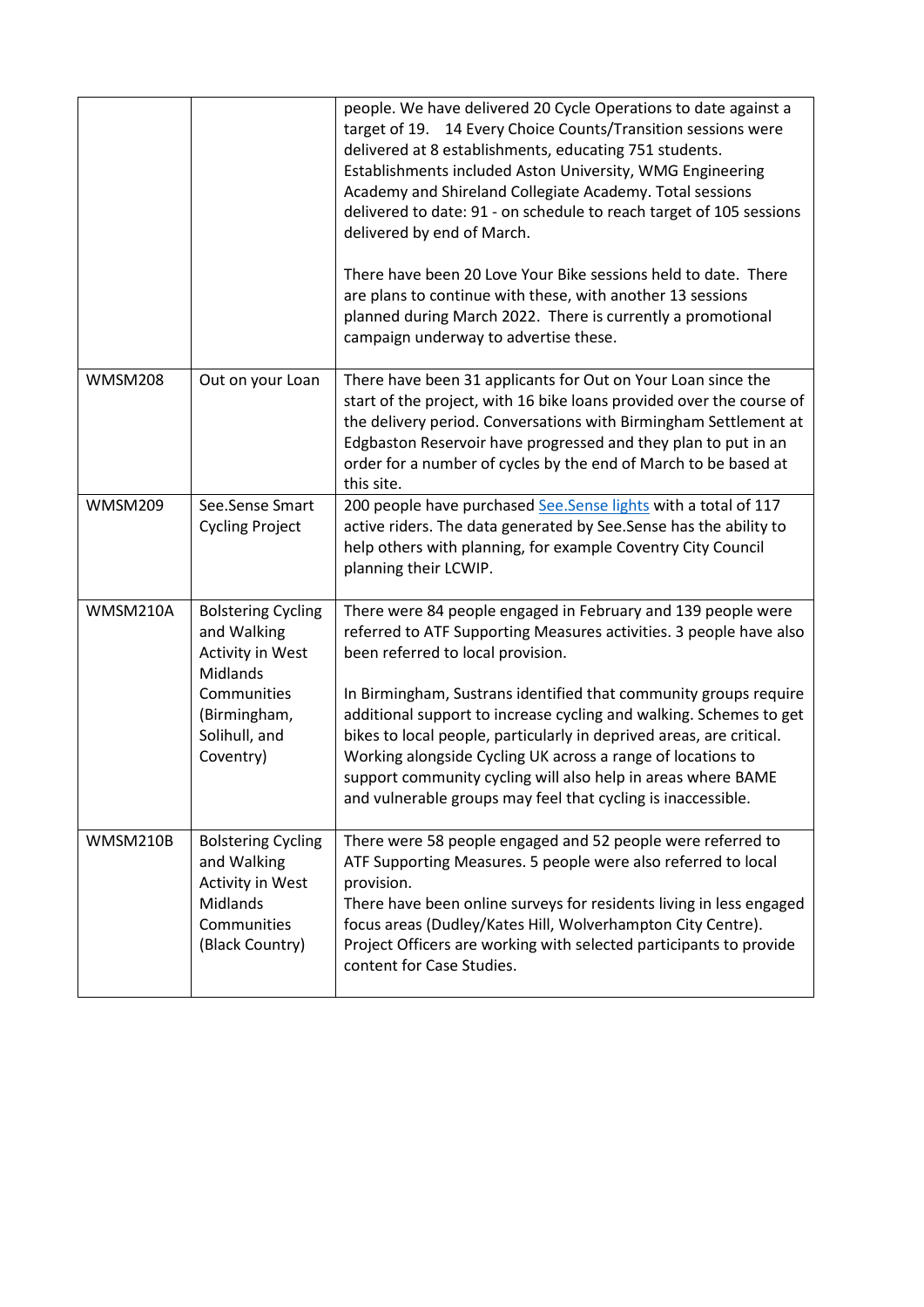|                |                                                                                                                                       | people. We have delivered 20 Cycle Operations to date against a<br>target of 19. 14 Every Choice Counts/Transition sessions were<br>delivered at 8 establishments, educating 751 students.<br>Establishments included Aston University, WMG Engineering<br>Academy and Shireland Collegiate Academy. Total sessions<br>delivered to date: 91 - on schedule to reach target of 105 sessions<br>delivered by end of March.<br>There have been 20 Love Your Bike sessions held to date. There<br>are plans to continue with these, with another 13 sessions<br>planned during March 2022. There is currently a promotional<br>campaign underway to advertise these. |
|----------------|---------------------------------------------------------------------------------------------------------------------------------------|------------------------------------------------------------------------------------------------------------------------------------------------------------------------------------------------------------------------------------------------------------------------------------------------------------------------------------------------------------------------------------------------------------------------------------------------------------------------------------------------------------------------------------------------------------------------------------------------------------------------------------------------------------------|
| <b>WMSM208</b> | Out on your Loan                                                                                                                      | There have been 31 applicants for Out on Your Loan since the<br>start of the project, with 16 bike loans provided over the course of<br>the delivery period. Conversations with Birmingham Settlement at<br>Edgbaston Reservoir have progressed and they plan to put in an<br>order for a number of cycles by the end of March to be based at<br>this site.                                                                                                                                                                                                                                                                                                      |
| <b>WMSM209</b> | See.Sense Smart<br><b>Cycling Project</b>                                                                                             | 200 people have purchased See.Sense lights with a total of 117<br>active riders. The data generated by See.Sense has the ability to<br>help others with planning, for example Coventry City Council<br>planning their LCWIP.                                                                                                                                                                                                                                                                                                                                                                                                                                     |
| WMSM210A       | <b>Bolstering Cycling</b><br>and Walking<br>Activity in West<br>Midlands<br>Communities<br>(Birmingham,<br>Solihull, and<br>Coventry) | There were 84 people engaged in February and 139 people were<br>referred to ATF Supporting Measures activities. 3 people have also<br>been referred to local provision.<br>In Birmingham, Sustrans identified that community groups require<br>additional support to increase cycling and walking. Schemes to get<br>bikes to local people, particularly in deprived areas, are critical.<br>Working alongside Cycling UK across a range of locations to<br>support community cycling will also help in areas where BAME<br>and vulnerable groups may feel that cycling is inaccessible.                                                                         |
| WMSM210B       | <b>Bolstering Cycling</b><br>and Walking<br>Activity in West<br>Midlands<br>Communities<br>(Black Country)                            | There were 58 people engaged and 52 people were referred to<br>ATF Supporting Measures. 5 people were also referred to local<br>provision.<br>There have been online surveys for residents living in less engaged<br>focus areas (Dudley/Kates Hill, Wolverhampton City Centre).<br>Project Officers are working with selected participants to provide<br>content for Case Studies.                                                                                                                                                                                                                                                                              |